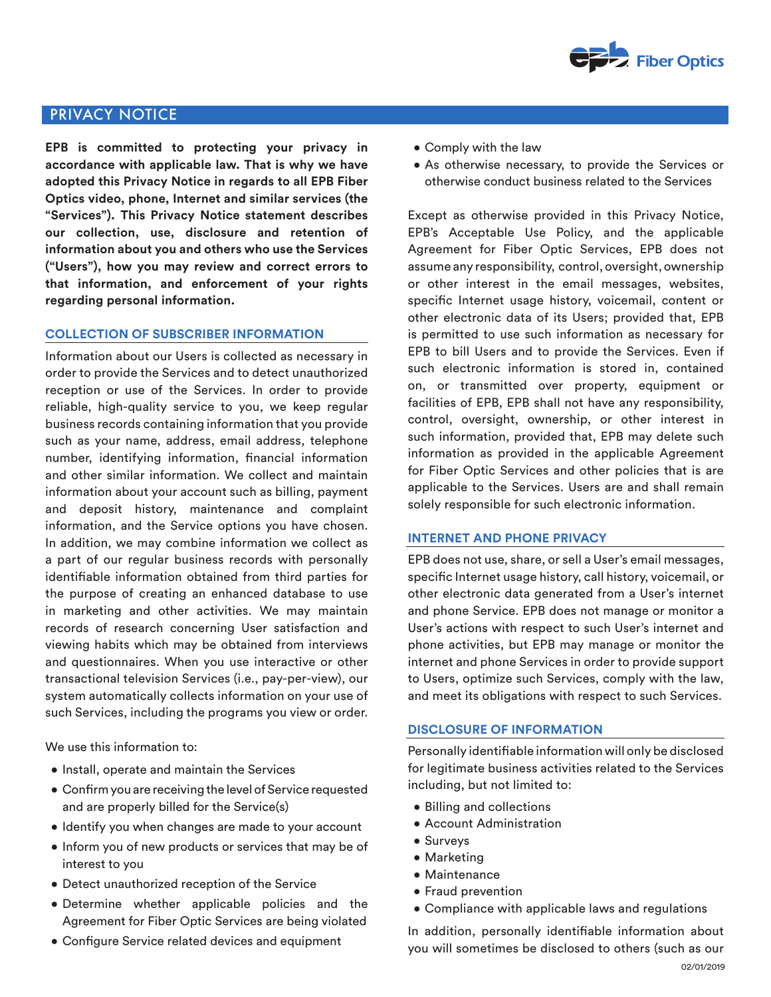

# PRIVACY NOTICE

**EPB is committed to protecting your privacy in accordance with applicable law. That is why we have adopted this Privacy Notice in regards to all EPB Fiber Optics video, phone, Internet and similar services (the "Services"). This Privacy Notice statement describes our collection, use, disclosure and retention of information about you and others who use the Services ("Users"), how you may review and correct errors to that information, and enforcement of your rights regarding personal information.**

## **COLLECTION OF SUBSCRIBER INFORMATION**

Information about our Users is collected as necessary in order to provide the Services and to detect unauthorized reception or use of the Services. In order to provide reliable, high-quality service to you, we keep regular business records containing information that you provide such as your name, address, email address, telephone number, identifying information, financial information and other similar information. We collect and maintain information about your account such as billing, payment and deposit history, maintenance and complaint information, and the Service options you have chosen. In addition, we may combine information we collect as a part of our regular business records with personally identifiable information obtained from third parties for the purpose of creating an enhanced database to use in marketing and other activities. We may maintain records of research concerning User satisfaction and viewing habits which may be obtained from interviews and questionnaires. When you use interactive or other transactional television Services (i.e., pay-per-view), our system automatically collects information on your use of such Services, including the programs you view or order.

We use this information to:

- Install, operate and maintain the Services
- Confirm you are receiving the level of Service requested and are properly billed for the Service(s)
- Identify you when changes are made to your account
- Inform you of new products or services that may be of interest to you
- Detect unauthorized reception of the Service
- Determine whether applicable policies and the Agreement for Fiber Optic Services are being violated
- Configure Service related devices and equipment
- Comply with the law
- As otherwise necessary, to provide the Services or otherwise conduct business related to the Services

Except as otherwise provided in this Privacy Notice, EPB's Acceptable Use Policy, and the applicable Agreement for Fiber Optic Services, EPB does not assume any responsibility, control, oversight, ownership or other interest in the email messages, websites, specific Internet usage history, voicemail, content or other electronic data of its Users; provided that, EPB is permitted to use such information as necessary for EPB to bill Users and to provide the Services. Even if such electronic information is stored in, contained on, or transmitted over property, equipment or facilities of EPB, EPB shall not have any responsibility, control, oversight, ownership, or other interest in such information, provided that, EPB may delete such information as provided in the applicable Agreement for Fiber Optic Services and other policies that is are applicable to the Services. Users are and shall remain solely responsible for such electronic information.

#### **INTERNET AND PHONE PRIVACY**

EPB does not use, share, or sell a User's email messages, specific Internet usage history, call history, voicemail, or other electronic data generated from a User's internet and phone Service. EPB does not manage or monitor a User's actions with respect to such User's internet and phone activities, but EPB may manage or monitor the internet and phone Services in order to provide support to Users, optimize such Services, comply with the law, and meet its obligations with respect to such Services.

## **DISCLOSURE OF INFORMATION**

Personally identifiable information will only be disclosed for legitimate business activities related to the Services including, but not limited to:

- Billing and collections
- Account Administration
- Surveys
- Marketing
- Maintenance
- Fraud prevention
- Compliance with applicable laws and regulations

In addition, personally identifiable information about you will sometimes be disclosed to others (such as our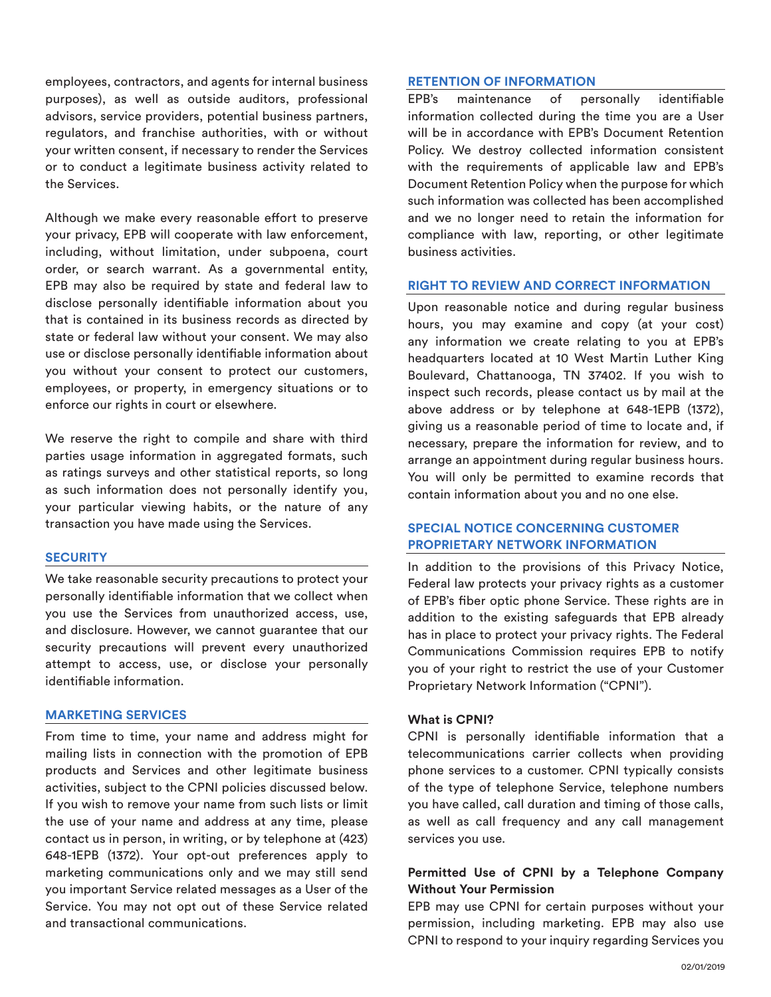employees, contractors, and agents for internal business purposes), as well as outside auditors, professional advisors, service providers, potential business partners, regulators, and franchise authorities, with or without your written consent, if necessary to render the Services or to conduct a legitimate business activity related to the Services.

Although we make every reasonable effort to preserve your privacy, EPB will cooperate with law enforcement, including, without limitation, under subpoena, court order, or search warrant. As a governmental entity, EPB may also be required by state and federal law to disclose personally identifiable information about you that is contained in its business records as directed by state or federal law without your consent. We may also use or disclose personally identifiable information about you without your consent to protect our customers, employees, or property, in emergency situations or to enforce our rights in court or elsewhere.

We reserve the right to compile and share with third parties usage information in aggregated formats, such as ratings surveys and other statistical reports, so long as such information does not personally identify you, your particular viewing habits, or the nature of any transaction you have made using the Services.

#### **SECURITY**

We take reasonable security precautions to protect your personally identifiable information that we collect when you use the Services from unauthorized access, use, and disclosure. However, we cannot guarantee that our security precautions will prevent every unauthorized attempt to access, use, or disclose your personally identifiable information.

#### **MARKETING SERVICES**

From time to time, your name and address might for mailing lists in connection with the promotion of EPB products and Services and other legitimate business activities, subject to the CPNI policies discussed below. If you wish to remove your name from such lists or limit the use of your name and address at any time, please contact us in person, in writing, or by telephone at (423) 648-1EPB (1372). Your opt-out preferences apply to marketing communications only and we may still send you important Service related messages as a User of the Service. You may not opt out of these Service related and transactional communications.

#### **RETENTION OF INFORMATION**

EPB's maintenance of personally identifiable information collected during the time you are a User will be in accordance with EPB's Document Retention Policy. We destroy collected information consistent with the requirements of applicable law and EPB's Document Retention Policy when the purpose for which such information was collected has been accomplished and we no longer need to retain the information for compliance with law, reporting, or other legitimate business activities.

#### **RIGHT TO REVIEW AND CORRECT INFORMATION**

Upon reasonable notice and during regular business hours, you may examine and copy (at your cost) any information we create relating to you at EPB's headquarters located at 10 West Martin Luther King Boulevard, Chattanooga, TN 37402. If you wish to inspect such records, please contact us by mail at the above address or by telephone at 648-1EPB (1372), giving us a reasonable period of time to locate and, if necessary, prepare the information for review, and to arrange an appointment during regular business hours. You will only be permitted to examine records that contain information about you and no one else.

# **SPECIAL NOTICE CONCERNING CUSTOMER PROPRIETARY NETWORK INFORMATION**

In addition to the provisions of this Privacy Notice, Federal law protects your privacy rights as a customer of EPB's fiber optic phone Service. These rights are in addition to the existing safeguards that EPB already has in place to protect your privacy rights. The Federal Communications Commission requires EPB to notify you of your right to restrict the use of your Customer Proprietary Network Information ("CPNI").

## **What is CPNI?**

CPNI is personally identifiable information that a telecommunications carrier collects when providing phone services to a customer. CPNI typically consists of the type of telephone Service, telephone numbers you have called, call duration and timing of those calls, as well as call frequency and any call management services you use.

# **Permitted Use of CPNI by a Telephone Company Without Your Permission**

EPB may use CPNI for certain purposes without your permission, including marketing. EPB may also use CPNI to respond to your inquiry regarding Services you